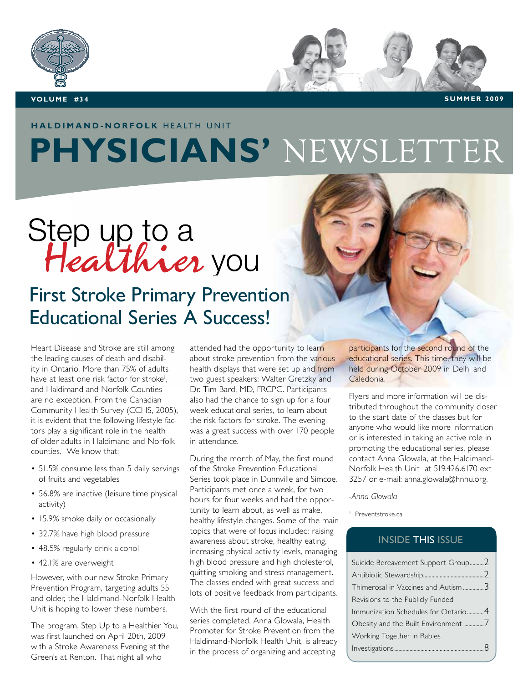

**VOLUME** #34 **SUMMER** 2009

## **HALDIMAND-NORFOLK HEALTH UNIT**

## **PHYSICIANS'** NEWSLETTER

# Step up to a<br>Healthier you

## First Stroke Primary Prevention Educational Series A Success!

Heart Disease and Stroke are still among the leading causes of death and disability in Ontario. More than 75% of adults have at least one risk factor for stroke<sup>1</sup>, and Haldimand and Norfolk Counties are no exception. From the Canadian Community Health Survey (CCHS, 2005), it is evident that the following lifestyle factors play a significant role in the health of older adults in Haldimand and Norfolk counties. We know that:

- 51.5% consume less than 5 daily servings of fruits and vegetables
- 56.8% are inactive (leisure time physical activity)
- 15.9% smoke daily or occasionally
- 32.7% have high blood pressure
- 48.5% regularly drink alcohol
- 42.1% are overweight

However, with our new Stroke Primary Prevention Program, targeting adults 55 and older, the Haldimand-Norfolk Health Unit is hoping to lower these numbers.

The program, Step Up to a Healthier You, was first launched on April 20th, 2009 with a Stroke Awareness Evening at the Green's at Renton. That night all who

attended had the opportunity to learn about stroke prevention from the various health displays that were set up and from two guest speakers: Walter Gretzky and Dr. Tim Bard, MD, FRCPC. Participants also had the chance to sign up for a four week educational series, to learn about the risk factors for stroke. The evening was a great success with over 170 people in attendance.

During the month of May, the first round of the Stroke Prevention Educational Series took place in Dunnville and Simcoe. Participants met once a week, for two hours for four weeks and had the opportunity to learn about, as well as make, healthy lifestyle changes. Some of the main topics that were of focus included: raising awareness about stroke, healthy eating, increasing physical activity levels, managing high blood pressure and high cholesterol, quitting smoking and stress management. The classes ended with great success and lots of positive feedback from participants.

With the first round of the educational series completed, Anna Glowala, Health Promoter for Stroke Prevention from the Haldimand-Norfolk Health Unit, is already in the process of organizing and accepting

participants for the second round of the educational series. This time, they will be held during October 2009 in Delhi and Caledonia.

Flyers and more information will be distributed throughout the community closer to the start date of the classes but for anyone who would like more information or is interested in taking an active role in promoting the educational series, please contact Anna Glowala, at the Haldimand-Norfolk Health Unit at 519.426.6170 ext 3257 or e-mail: anna.glowala@hnhu.org.

*-Anna Glowala*

1 Preventstroke.ca

#### INSIDE THIS ISSUE

| Suicide Bereavement Support Group 2 |  |
|-------------------------------------|--|
|                                     |  |
| Thimerosal in Vaccines and Autism 3 |  |
| Revisions to the Publicly Funded    |  |
| Immunization Schedules for Ontario4 |  |
|                                     |  |
| Working Together in Rabies          |  |
|                                     |  |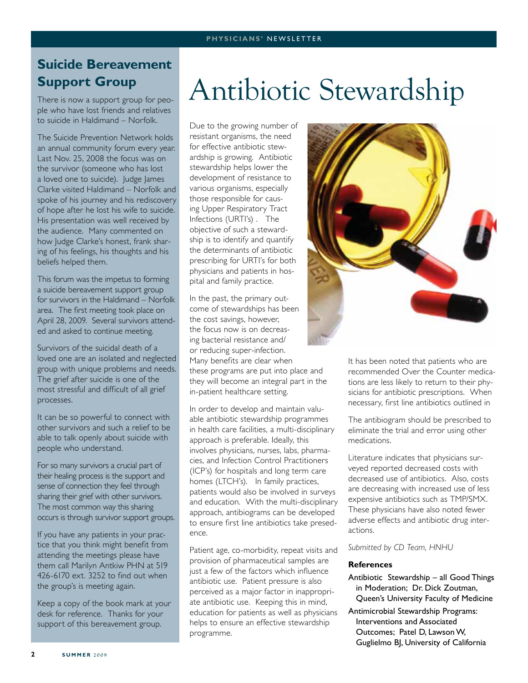#### **Suicide Bereavement Support Group**

There is now a support group for people who have lost friends and relatives to suicide in Haldimand – Norfolk.

The Suicide Prevention Network holds an annual community forum every year. Last Nov. 25, 2008 the focus was on the survivor (someone who has lost a loved one to suicide). Judge James Clarke visited Haldimand – Norfolk and spoke of his journey and his rediscovery of hope after he lost his wife to suicide. His presentation was well received by the audience. Many commented on how Judge Clarke's honest, frank sharing of his feelings, his thoughts and his beliefs helped them.

This forum was the impetus to forming a suicide bereavement support group for survivors in the Haldimand – Norfolk area. The first meeting took place on April 28, 2009. Several survivors attended and asked to continue meeting.

Survivors of the suicidal death of a loved one are an isolated and neglected group with unique problems and needs. The grief after suicide is one of the most stressful and difficult of all grief processes.

It can be so powerful to connect with other survivors and such a relief to be able to talk openly about suicide with people who understand.

For so many survivors a crucial part of their healing process is the support and sense of connection they feel through sharing their grief with other survivors. The most common way this sharing occurs is through survivor support groups.

If you have any patients in your practice that you think might benefit from attending the meetings please have them call Marilyn Antkiw PHN at 519 426-6170 ext. 3252 to find out when the group's is meeting again.

Keep a copy of the book mark at your desk for reference. Thanks for your support of this bereavement group.

## Antibiotic Stewardship

Due to the growing number of resistant organisms, the need for effective antibiotic stewardship is growing. Antibiotic stewardship helps lower the development of resistance to various organisms, especially those responsible for causing Upper Respiratory Tract Infections (URTI's) . The objective of such a stewardship is to identify and quantify the determinants of antibiotic prescribing for URTI's for both physicians and patients in hospital and family practice.

In the past, the primary outcome of stewardships has been the cost savings, however, the focus now is on decreasing bacterial resistance and/ or reducing super-infection. Many benefits are clear when these programs are put into place and they will become an integral part in the in-patient healthcare setting.

In order to develop and maintain valuable antibiotic stewardship programmes in health care facilities, a multi-disciplinary approach is preferable. Ideally, this involves physicians, nurses, labs, pharmacies, and Infection Control Practitioners (ICP's) for hospitals and long term care homes (LTCH's). In family practices, patients would also be involved in surveys and education. With the multi-disciplinary approach, antibiograms can be developed to ensure first line antibiotics take presedence.

Patient age, co-morbidity, repeat visits and provision of pharmaceutical samples are just a few of the factors which influence antibiotic use. Patient pressure is also perceived as a major factor in inappropriate antibiotic use. Keeping this in mind, education for patients as well as physicians helps to ensure an effective stewardship programme.



It has been noted that patients who are recommended Over the Counter medications are less likely to return to their physicians for antibiotic prescriptions. When necessary, first line antibiotics outlined in

The antibiogram should be prescribed to eliminate the trial and error using other medications.

Literature indicates that physicians surveyed reported decreased costs with decreased use of antibiotics. Also, costs are decreasing with increased use of less expensive antibiotics such as TMP/SMX. These physicians have also noted fewer adverse effects and antibiotic drug interactions.

*Submitted by CD Team, HNHU*

#### **References**

- Antibiotic Stewardship all Good Things in Moderation; Dr. Dick Zoutman, Queen's University Faculty of Medicine
- Antimicrobial Stewardship Programs: Interventions and Associated Outcomes; Patel D, Lawson W, Guglielmo BJ, University of California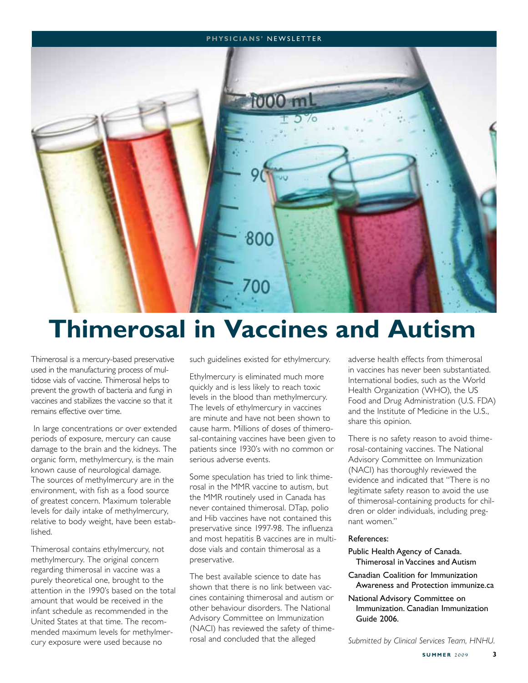#### **P h ysici a n s'** newslette r



## **Thimerosal in Vaccines and Autism**

Thimerosal is a mercury-based preservative used in the manufacturing process of multidose vials of vaccine. Thimerosal helps to prevent the growth of bacteria and fungi in vaccines and stabilizes the vaccine so that it remains effective over time.

 In large concentrations or over extended periods of exposure, mercury can cause damage to the brain and the kidneys. The organic form, methylmercury, is the main known cause of neurological damage. The sources of methylmercury are in the environment, with fish as a food source of greatest concern. Maximum tolerable levels for daily intake of methylmercury, relative to body weight, have been established.

Thimerosal contains ethylmercury, not methylmercury. The original concern regarding thimerosal in vaccine was a purely theoretical one, brought to the attention in the 1990's based on the total amount that would be received in the infant schedule as recommended in the United States at that time. The recommended maximum levels for methylmercury exposure were used because no

such guidelines existed for ethylmercury.

Ethylmercury is eliminated much more quickly and is less likely to reach toxic levels in the blood than methylmercury. The levels of ethylmercury in vaccines are minute and have not been shown to cause harm. Millions of doses of thimerosal-containing vaccines have been given to patients since 1930's with no common or serious adverse events.

Some speculation has tried to link thimerosal in the MMR vaccine to autism, but the MMR routinely used in Canada has never contained thimerosal. DTap, polio and Hib vaccines have not contained this preservative since 1997-98. The influenza and most hepatitis B vaccines are in multidose vials and contain thimerosal as a preservative.

The best available science to date has shown that there is no link between vaccines containing thimerosal and autism or other behaviour disorders. The National Advisory Committee on Immunization (NACI) has reviewed the safety of thimerosal and concluded that the alleged

adverse health effects from thimerosal in vaccines has never been substantiated. International bodies, such as the World Health Organization (WHO), the US Food and Drug Administration (U.S. FDA) and the Institute of Medicine in the U.S., share this opinion.

There is no safety reason to avoid thimerosal-containing vaccines. The National Advisory Committee on Immunization (NACI) has thoroughly reviewed the evidence and indicated that "There is no legitimate safety reason to avoid the use of thimerosal-containing products for children or older individuals, including pregnant women."

#### References:

- Public Health Agency of Canada. Thimerosal in Vaccines and Autism
- Canadian Coalition for Immunization Awareness and Protection immunize.ca
- National Advisory Committee on Immunization. Canadian Immunization Guide 2006.

*Submitted by Clinical Services Team, HNHU.*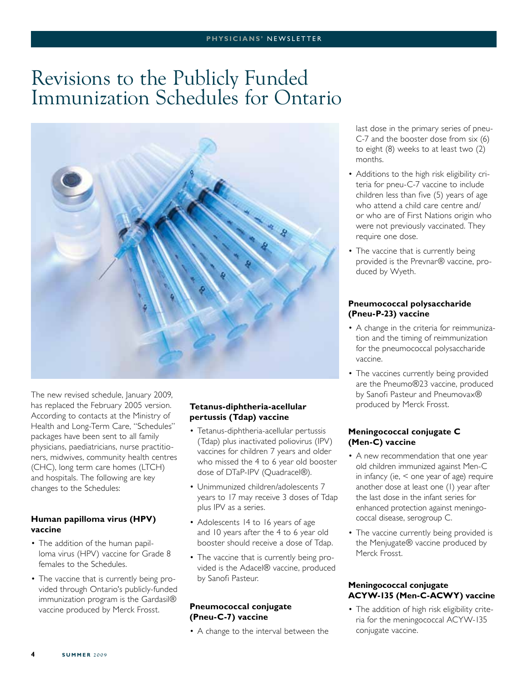## Revisions to the Publicly Funded Immunization Schedules for Ontario



The new revised schedule, January 2009, has replaced the February 2005 version. According to contacts at the Ministry of Health and Long-Term Care, "Schedules" packages have been sent to all family physicians, paediatricians, nurse practitioners, midwives, community health centres (CHC), long term care homes (LTCH) and hospitals. The following are key changes to the Schedules:

#### **Human papilloma virus (HPV) vaccine**

- The addition of the human papilloma virus (HPV) vaccine for Grade 8 females to the Schedules.
- The vaccine that is currently being provided through Ontario's publicly-funded immunization program is the Gardasil® vaccine produced by Merck Frosst.

#### **Tetanus-diphtheria-acellular pertussis (Tdap) vaccine**

- Tetanus-diphtheria-acellular pertussis (Tdap) plus inactivated poliovirus (IPV) vaccines for children 7 years and older who missed the 4 to 6 year old booster dose of DTaP-IPV (Quadracel®).
- Unimmunized children/adolescents 7 years to 17 may receive 3 doses of Tdap plus IPV as a series.
- Adolescents 14 to 16 years of age and 10 years after the 4 to 6 year old booster should receive a dose of Tdap.
- The vaccine that is currently being provided is the Adacel® vaccine, produced by Sanofi Pasteur.

#### **Pneumococcal conjugate (Pneu-C-7) vaccine**

• A change to the interval between the

last dose in the primary series of pneu-C-7 and the booster dose from six (6) to eight (8) weeks to at least two (2) months.

- Additions to the high risk eligibility criteria for pneu-C-7 vaccine to include children less than five (5) years of age who attend a child care centre and/ or who are of First Nations origin who were not previously vaccinated. They require one dose.
- The vaccine that is currently being provided is the Prevnar® vaccine, produced by Wyeth.

#### **Pneumococcal polysaccharide (Pneu-P-23) vaccine**

- A change in the criteria for reimmunization and the timing of reimmunization for the pneumococcal polysaccharide vaccine.
- The vaccines currently being provided are the Pneumo®23 vaccine, produced by Sanofi Pasteur and Pneumovax® produced by Merck Frosst.

#### **Meningococcal conjugate C (Men-C) vaccine**

- A new recommendation that one year old children immunized against Men-C in infancy (ie, < one year of age) require another dose at least one (1) year after the last dose in the infant series for enhanced protection against meningococcal disease, serogroup C.
- The vaccine currently being provided is the Menjugate® vaccine produced by Merck Frosst.

#### **Meningococcal conjugate ACYW-135 (Men-C-ACWY) vaccine**

• The addition of high risk eligibility criteria for the meningococcal ACYW-135 conjugate vaccine.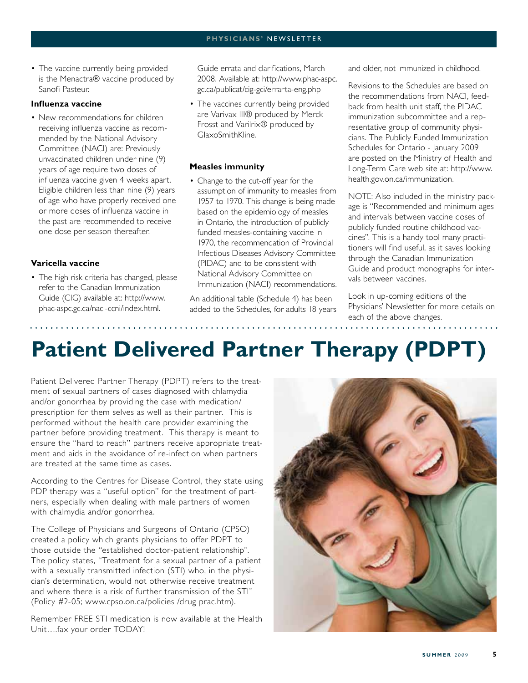#### **P h ysici a n s'** newslette r

• The vaccine currently being provided is the Menactra® vaccine produced by Sanofi Pasteur.

#### **Influenza vaccine**

• New recommendations for children receiving influenza vaccine as recommended by the National Advisory Committee (NACI) are: Previously unvaccinated children under nine (9) years of age require two doses of influenza vaccine given 4 weeks apart. Eligible children less than nine (9) years of age who have properly received one or more doses of influenza vaccine in the past are recommended to receive one dose per season thereafter.

#### **Varicella vaccine**

• The high risk criteria has changed, please refer to the Canadian Immunization Guide (CIG) available at: http://www. phac-aspc.gc.ca/naci-ccni/index.html.

Guide errata and clarifications, March 2008. Available at: http://www.phac-aspc. gc.ca/publicat/cig-gci/errarta-eng.php

• The vaccines currently being provided are Varivax III® produced by Merck Frosst and Varilrix® produced by GlaxoSmithKline.

#### **Measles immunity**

• Change to the cut-off year for the assumption of immunity to measles from 1957 to 1970. This change is being made based on the epidemiology of measles in Ontario, the introduction of publicly funded measles-containing vaccine in 1970, the recommendation of Provincial Infectious Diseases Advisory Committee (PIDAC) and to be consistent with National Advisory Committee on Immunization (NACI) recommendations.

An additional table (Schedule 4) has been added to the Schedules, for adults 18 years and older, not immunized in childhood.

Revisions to the Schedules are based on the recommendations from NACI, feedback from health unit staff, the PIDAC immunization subcommittee and a representative group of community physicians. The Publicly Funded Immunization Schedules for Ontario - January 2009 are posted on the Ministry of Health and Long-Term Care web site at: http://www. health.gov.on.ca/immunization.

NOTE: Also included in the ministry package is "Recommended and minimum ages and intervals between vaccine doses of publicly funded routine childhood vaccines". This is a handy tool many practitioners will find useful, as it saves looking through the Canadian Immunization Guide and product monographs for intervals between vaccines.

Look in up-coming editions of the Physicians' Newsletter for more details on each of the above changes.

## **Patient Delivered Partner Therapy (PDPT)**

Patient Delivered Partner Therapy (PDPT) refers to the treatment of sexual partners of cases diagnosed with chlamydia and/or gonorrhea by providing the case with medication/ prescription for them selves as well as their partner. This is performed without the health care provider examining the partner before providing treatment. This therapy is meant to ensure the "hard to reach" partners receive appropriate treatment and aids in the avoidance of re-infection when partners are treated at the same time as cases.

According to the Centres for Disease Control, they state using PDP therapy was a "useful option" for the treatment of partners, especially when dealing with male partners of women with chalmydia and/or gonorrhea.

The College of Physicians and Surgeons of Ontario (CPSO) created a policy which grants physicians to offer PDPT to those outside the "established doctor-patient relationship". The policy states, "Treatment for a sexual partner of a patient with a sexually transmitted infection (STI) who, in the physician's determination, would not otherwise receive treatment and where there is a risk of further transmission of the STI" (Policy #2-05; www.cpso.on.ca/policies /drug prac.htm).

Remember FREE STI medication is now available at the Health Unit….fax your order TODAY!

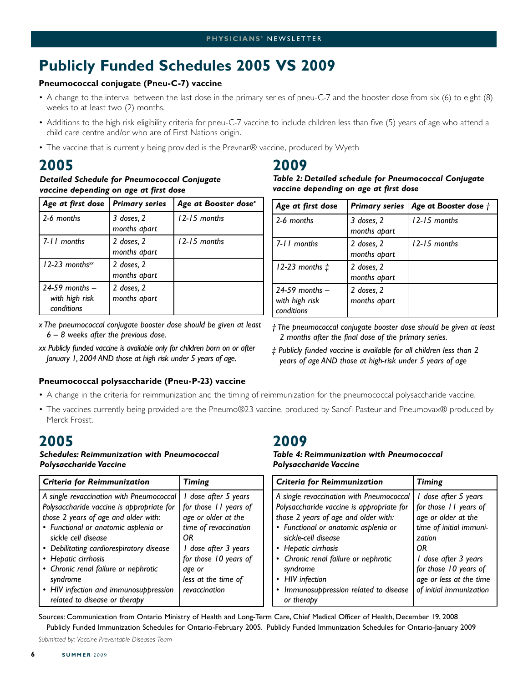## **Publicly Funded Schedules 2005 VS 2009**

#### **Pneumococcal conjugate (Pneu-C-7) vaccine**

- A change to the interval between the last dose in the primary series of pneu-C-7 and the booster dose from six (6) to eight (8) weeks to at least two (2) months.
- Additions to the high risk eligibility criteria for pneu-C-7 vaccine to include children less than five (5) years of age who attend a child care centre and/or who are of First Nations origin.
- The vaccine that is currently being provided is the Prevnar® vaccine, produced by Wyeth

### **2005**

#### *Detailed Schedule for Pneumococcal Conjugate vaccine depending on age at first dose*

| Age at first dose                                  | <b>Primary series</b>      | Age at Booster dose <sup>x</sup> |
|----------------------------------------------------|----------------------------|----------------------------------|
| 2-6 months                                         | 3 doses, 2<br>months apart | $12 - 15$ months                 |
| 7-11 months                                        | 2 doses, 2<br>months apart | $12 - 15$ months                 |
| $12-23$ months <sup>xx</sup>                       | 2 doses, 2<br>months apart |                                  |
| $24-59$ months $-$<br>with high risk<br>conditions | 2 doses, 2<br>months apart |                                  |

- *x The pneumococcal conjugate booster dose should be given at least 6 – 8 weeks after the previous dose.*
- *xx Publicly funded vaccine is available only for children born on or after January 1, 2004 AND those at high risk under 5 years of age.*

#### **Pneumococcal polysaccharide (Pneu-P-23) vaccine**

#### • A change in the criteria for reimmunization and the timing of reimmunization for the pneumococcal polysaccharide vaccine.

• The vaccines currently being provided are the Pneumo®23 vaccine, produced by Sanofi Pasteur and Pneumovax® produced by Merck Frosst.

**2009**

*Polysaccharide Vaccine*

#### **2005**

#### *Schedules: Reimmunization with Pneumococcal Polysaccharide Vaccine*

| <b>Criteria for Reimmunization</b>                                                                                                                                                                                                                                                                      | <b>Timing</b>                                                                                                                                                  | <b>Criteria for Reimmunization</b>                                                                                                                                                                                                                                      | <b>Timing</b>                                                                                                                                                |
|---------------------------------------------------------------------------------------------------------------------------------------------------------------------------------------------------------------------------------------------------------------------------------------------------------|----------------------------------------------------------------------------------------------------------------------------------------------------------------|-------------------------------------------------------------------------------------------------------------------------------------------------------------------------------------------------------------------------------------------------------------------------|--------------------------------------------------------------------------------------------------------------------------------------------------------------|
| A single revaccination with Pneumococcal<br>Polysaccharide vaccine is appropriate for<br>those 2 years of age and older with:<br>• Functional or anatomic asplenia or<br>sickle cell disease<br>• Debilitating cardiorespiratory disease<br>• Hepatic cirrhosis<br>• Chronic renal failure or nephrotic | I dose after 5 years<br>for those 11 years of<br>age or older at the<br>time of revaccination<br>ΟR<br>I dose after 3 years<br>for those 10 years of<br>age or | A single revaccination with Pneumococcal<br>Polysaccharide vaccine is appropriate for<br>those 2 years of age and older with:<br>• Functional or anatomic asplenia or<br>sickle-cell disease<br>• Hepatic cirrhosis<br>• Chronic renal failure or nephrotic<br>syndrome | dose after 5 years<br>for those 11 years of<br>age or older at the<br>time of initial immuni-<br>zation<br>ΟR<br>dose after 3 years<br>for those 10 years of |
| syndrome<br>• HIV infection and immunosuppression<br>related to disease or therapy                                                                                                                                                                                                                      | less at the time of<br>revaccination                                                                                                                           | <b>HIV</b> infection<br>Immunosuppression related to disease<br>or therapy                                                                                                                                                                                              | age or less at the time<br>of initial immunization                                                                                                           |

Sources: Communication from Ontario Ministry of Health and Long-Term Care, Chief Medical Officer of Health, December 19, 2008 Publicly Funded Immunization Schedules for Ontario-February 2005. Publicly Funded Immunization Schedules for Ontario-January 2009

*Submitted by: Vaccine Preventable Diseases Team*

## **2009**

| Table 2: Detailed schedule for Pneumococcal Conjugate |
|-------------------------------------------------------|
| vaccine depending on age at first dose                |

| Age at first dose                                  | <b>Primary series</b>      | Age at Booster dose $\dagger$ |
|----------------------------------------------------|----------------------------|-------------------------------|
| 2-6 months                                         | 3 doses, 2<br>months apart | 12-15 months                  |
| 7-11 months                                        | 2 doses, 2<br>months apart | $12 - 15$ months              |
| 12-23 months $\ddagger$                            | 2 doses, 2<br>months apart |                               |
| $24-59$ months $-$<br>with high risk<br>conditions | 2 doses, 2<br>months apart |                               |

*† The pneumococcal conjugate booster dose should be given at least 2 months after the final dose of the primary series.*

*‡ Publicly funded vaccine is available for all children less than 2 years of age AND those at high-risk under 5 years of age*

*Table 4: Reimmunization with Pneumococcal*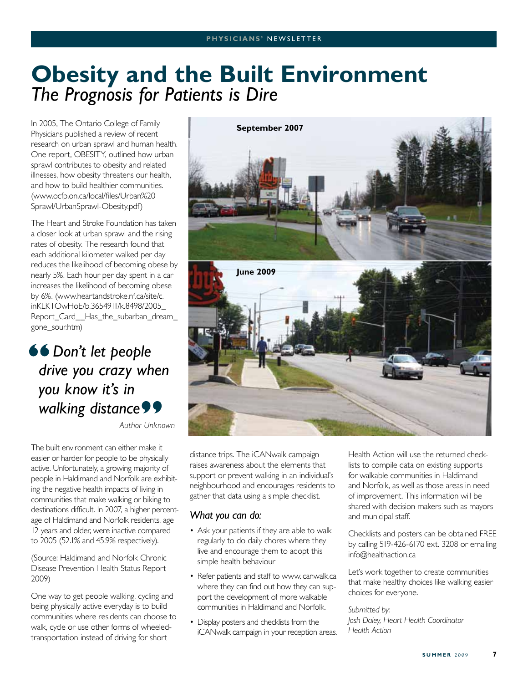## **Obesity and the Built Environment** *The Prognosis for Patients is Dire*

In 2005, The Ontario College of Family Physicians published a review of recent research on urban sprawl and human health. One report, OBESITY, outlined how urban sprawl contributes to obesity and related illnesses, how obesity threatens our health, and how to build healthier communities. (www.ocfp.on.ca/local/files/Urban%20 Sprawl/UrbanSprawl-Obesity.pdf)

The Heart and Stroke Foundation has taken a closer look at urban sprawl and the rising rates of obesity. The research found that each additional kilometer walked per day reduces the likelihood of becoming obese by nearly 5%. Each hour per day spent in a car increases the likelihood of becoming obese by 6%. (www.heartandstroke.nf.ca/site/c. inKLKTOwHoE/b.3654911/k.8498/2005\_ Report\_Card\_\_Has\_the\_subarban\_dream\_ gone\_sour.htm)

## *Don't let people drive you crazy when you know it's in walking distance*

*Author Unknown*

The built environment can either make it easier or harder for people to be physically active. Unfortunately, a growing majority of people in Haldimand and Norfolk are exhibiting the negative health impacts of living in communities that make walking or biking to destinations difficult. In 2007, a higher percentage of Haldimand and Norfolk residents, age 12 years and older, were inactive compared to 2005 (52.1% and 45.9% respectively).

(Source: Haldimand and Norfolk Chronic Disease Prevention Health Status Report 2009)

One way to get people walking, cycling and being physically active everyday is to build communities where residents can choose to walk, cycle or use other forms of wheeledtransportation instead of driving for short



distance trips. The iCANwalk campaign raises awareness about the elements that support or prevent walking in an individual's neighbourhood and encourages residents to gather that data using a simple checklist.

#### *What you can do:*

- Ask your patients if they are able to walk regularly to do daily chores where they live and encourage them to adopt this simple health behaviour
- Refer patients and staff to www.icanwalk.ca where they can find out how they can support the development of more walkable communities in Haldimand and Norfolk.
- Display posters and checklists from the iCANwalk campaign in your reception areas.

Health Action will use the returned checklists to compile data on existing supports for walkable communities in Haldimand and Norfolk, as well as those areas in need of improvement. This information will be shared with decision makers such as mayors and municipal staff.

Checklists and posters can be obtained FREE by calling 519-426-6170 ext. 3208 or emailing info@healthaction.ca

Let's work together to create communities that make healthy choices like walking easier choices for everyone.

*Submitted by: Josh Daley, Heart Health Coordinator Health Action*